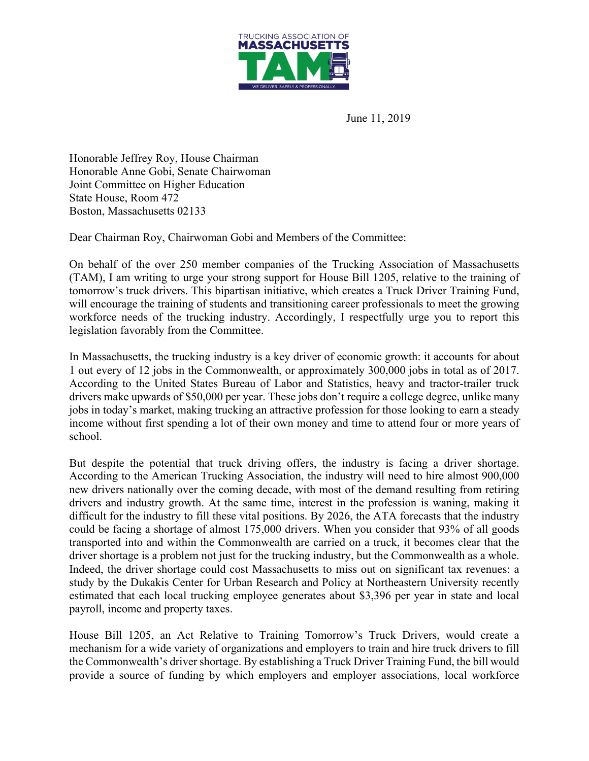

June 11, 2019

Honorable Jeffrey Roy, House Chairman Honorable Anne Gobi, Senate Chairwoman Joint Committee on Higher Education State House, Room 472 Boston, Massachusetts 02133

Dear Chairman Roy, Chairwoman Gobi and Members of the Committee:

On behalf of the over 250 member companies of the Trucking Association of Massachusetts (TAM), I am writing to urge your strong support for House Bill 1205, relative to the training of tomorrow's truck drivers. This bipartisan initiative, which creates a Truck Driver Training Fund, will encourage the training of students and transitioning career professionals to meet the growing workforce needs of the trucking industry. Accordingly, I respectfully urge you to report this legislation favorably from the Committee.

In Massachusetts, the trucking industry is a key driver of economic growth: it accounts for about 1 out every of 12 jobs in the Commonwealth, or approximately 300,000 jobs in total as of 2017. According to the United States Bureau of Labor and Statistics, heavy and tractor-trailer truck drivers make upwards of \$50,000 per year. These jobs don't require a college degree, unlike many jobs in today's market, making trucking an attractive profession for those looking to earn a steady income without first spending a lot of their own money and time to attend four or more years of school.

But despite the potential that truck driving offers, the industry is facing a driver shortage. According to the American Trucking Association, the industry will need to hire almost 900,000 new drivers nationally over the coming decade, with most of the demand resulting from retiring drivers and industry growth. At the same time, interest in the profession is waning, making it difficult for the industry to fill these vital positions. By 2026, the ATA forecasts that the industry could be facing a shortage of almost 175,000 drivers. When you consider that 93% of all goods transported into and within the Commonwealth are carried on a truck, it becomes clear that the driver shortage is a problem not just for the trucking industry, but the Commonwealth as a whole. Indeed, the driver shortage could cost Massachusetts to miss out on significant tax revenues: a study by the Dukakis Center for Urban Research and Policy at Northeastern University recently estimated that each local trucking employee generates about \$3,396 per year in state and local payroll, income and property taxes.

House Bill 1205, an Act Relative to Training Tomorrow's Truck Drivers, would create a mechanism for a wide variety of organizations and employers to train and hire truck drivers to fill the Commonwealth's driver shortage. By establishing a Truck Driver Training Fund, the bill would provide a source of funding by which employers and employer associations, local workforce